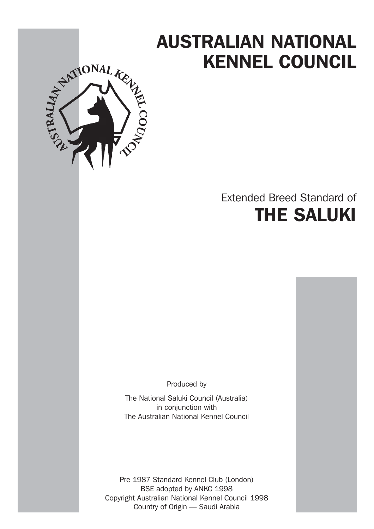# KENNEL COUNCIL



# Extended Breed Standard of THE SALUKI

Produced by

The National Saluki Council (Australia) in conjunction with The Australian National Kennel Council

Pre 1987 Standard Kennel Club (London) BSE adopted by ANKC 1998 Copyright Australian National Kennel Council 1998 Country of Origin — Saudi Arabia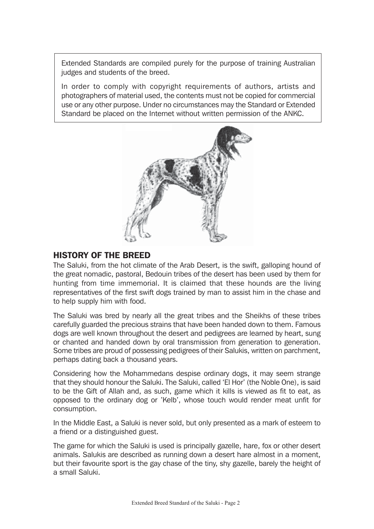Extended Standards are compiled purely for the purpose of training Australian judges and students of the breed.

In order to comply with copyright requirements of authors, artists and photographers of material used, the contents must not be copied for commercial use or any other purpose. Under no circumstances may the Standard or Extended Standard be placed on the Internet without written permission of the ANKC.



# HISTORY OF THE BREED

The Saluki, from the hot climate of the Arab Desert, is the swift, galloping hound of the great nomadic, pastoral, Bedouin tribes of the desert has been used by them for hunting from time immemorial. It is claimed that these hounds are the living representatives of the first swift dogs trained by man to assist him in the chase and to help supply him with food.

The Saluki was bred by nearly all the great tribes and the Sheikhs of these tribes carefully guarded the precious strains that have been handed down to them. Famous dogs are well known throughout the desert and pedigrees are learned by heart, sung or chanted and handed down by oral transmission from generation to generation. Some tribes are proud of possessing pedigrees of their Salukis, written on parchment, perhaps dating back a thousand years.

Considering how the Mohammedans despise ordinary dogs, it may seem strange that they should honour the Saluki. The Saluki, called 'El Hor' (the Noble One), is said to be the Gift of Allah and, as such, game which it kills is viewed as fit to eat, as opposed to the ordinary dog or 'Kelb', whose touch would render meat unfit for consumption.

In the Middle East, a Saluki is never sold, but only presented as a mark of esteem to a friend or a distinguished guest.

The game for which the Saluki is used is principally gazelle, hare, fox or other desert animals. Salukis are described as running down a desert hare almost in a moment, but their favourite sport is the gay chase of the tiny, shy gazelle, barely the height of a small Saluki.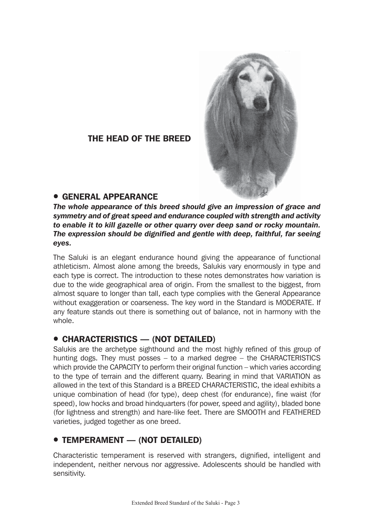

# THE HEAD OF THE BREED

# **• GENERAL APPEARANCE**

*The whole appearance of this breed should give an impression of grace and symmetry and of great speed and endurance coupled with strength and activity to enable it to kill gazelle or other quarry over deep sand or rocky mountain. The expression should be dignified and gentle with deep, faithful, far seeing eyes.*

The Saluki is an elegant endurance hound giving the appearance of functional athleticism. Almost alone among the breeds, Salukis vary enormously in type and each type is correct. The introduction to these notes demonstrates how variation is due to the wide geographical area of origin. From the smallest to the biggest, from almost square to longer than tall, each type complies with the General Appearance without exaggeration or coarseness. The key word in the Standard is MODERATE. If any feature stands out there is something out of balance, not in harmony with the whole.

# ! CHARACTERISTICS — (NOT DETAILED)

Salukis are the archetype sighthound and the most highly refined of this group of hunting dogs. They must posses – to a marked degree – the CHARACTERISTICS which provide the CAPACITY to perform their original function – which varies according to the type of terrain and the different quarry. Bearing in mind that VARIATION as allowed in the text of this Standard is a BREED CHARACTERISTIC, the ideal exhibits a unique combination of head (for type), deep chest (for endurance), fine waist (for speed), low hocks and broad hindquarters (for power, speed and agility), bladed bone (for lightness and strength) and hare-like feet. There are SMOOTH and FEATHERED varieties, judged together as one breed.

# **• TEMPERAMENT — (NOT DETAILED)**

Characteristic temperament is reserved with strangers, dignified, intelligent and independent, neither nervous nor aggressive. Adolescents should be handled with sensitivity.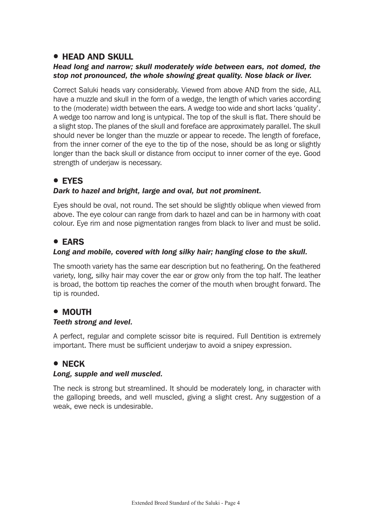# **• HEAD AND SKULL**

#### *Head long and narrow; skull moderately wide between ears, not domed, the stop not pronounced, the whole showing great quality. Nose black or liver.*

Correct Saluki heads vary considerably. Viewed from above AND from the side, ALL have a muzzle and skull in the form of a wedge, the length of which varies according to the (moderate) width between the ears. A wedge too wide and short lacks 'quality'. A wedge too narrow and long is untypical. The top of the skull is flat. There should be a slight stop. The planes of the skull and foreface are approximately parallel. The skull should never be longer than the muzzle or appear to recede. The length of foreface, from the inner corner of the eye to the tip of the nose, should be as long or slightly longer than the back skull or distance from occiput to inner corner of the eye. Good strength of underiaw is necessary.

# **• EYES**

#### *Dark to hazel and bright, large and oval, but not prominent.*

Eyes should be oval, not round. The set should be slightly oblique when viewed from above. The eye colour can range from dark to hazel and can be in harmony with coat colour. Eye rim and nose pigmentation ranges from black to liver and must be solid.

# ! EARS

# *Long and mobile, covered with long silky hair; hanging close to the skull.*

The smooth variety has the same ear description but no feathering. On the feathered variety, long, silky hair may cover the ear or grow only from the top half. The leather is broad, the bottom tip reaches the corner of the mouth when brought forward. The tip is rounded.

# • MOUTH

#### *Teeth strong and level.*

A perfect, regular and complete scissor bite is required. Full Dentition is extremely important. There must be sufficient underjaw to avoid a snipey expression.

# • NECK

#### *Long, supple and well muscled.*

The neck is strong but streamlined. It should be moderately long, in character with the galloping breeds, and well muscled, giving a slight crest. Any suggestion of a weak, ewe neck is undesirable.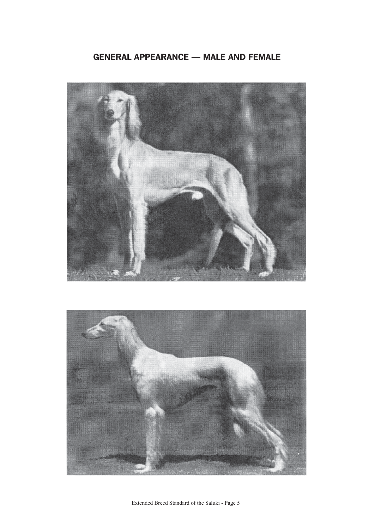# GENERAL APPEARANCE — MALE AND FEMALE



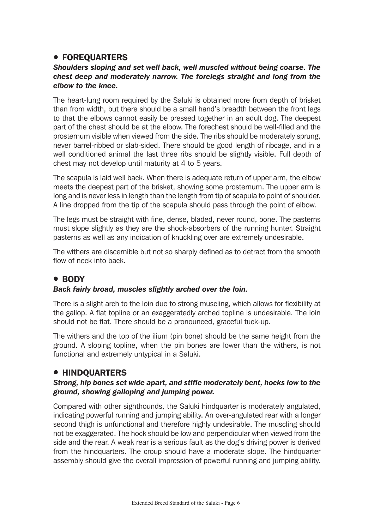# **• FOREQUARTERS**

#### *Shoulders sloping and set well back, well muscled without being coarse. The chest deep and moderately narrow. The forelegs straight and long from the elbow to the knee.*

The heart-lung room required by the Saluki is obtained more from depth of brisket than from width, but there should be a small hand's breadth between the front legs to that the elbows cannot easily be pressed together in an adult dog. The deepest part of the chest should be at the elbow. The forechest should be well-filled and the prosternum visible when viewed from the side. The ribs should be moderately sprung, never barrel-ribbed or slab-sided. There should be good length of ribcage, and in a well conditioned animal the last three ribs should be slightly visible. Full depth of chest may not develop until maturity at 4 to 5 years.

The scapula is laid well back. When there is adequate return of upper arm, the elbow meets the deepest part of the brisket, showing some prosternum. The upper arm is long and is never less in length than the length from tip of scapula to point of shoulder. A line dropped from the tip of the scapula should pass through the point of elbow.

The legs must be straight with fine, dense, bladed, never round, bone. The pasterns must slope slightly as they are the shock-absorbers of the running hunter. Straight pasterns as well as any indication of knuckling over are extremely undesirable.

The withers are discernible but not so sharply defined as to detract from the smooth flow of neck into back.

# **• BODY**

#### *Back fairly broad, muscles slightly arched over the loin.*

There is a slight arch to the loin due to strong muscling, which allows for flexibility at the gallop. A flat topline or an exaggeratedly arched topline is undesirable. The loin should not be flat. There should be a pronounced, graceful tuck-up.

The withers and the top of the ilium (pin bone) should be the same height from the ground. A sloping topline, when the pin bones are lower than the withers, is not functional and extremely untypical in a Saluki.

# **• HINDQUARTERS**

#### *Strong, hip bones set wide apart, and stifle moderately bent, hocks low to the ground, showing galloping and jumping power.*

Compared with other sighthounds, the Saluki hindquarter is moderately angulated, indicating powerful running and jumping ability. An over-angulated rear with a longer second thigh is unfunctional and therefore highly undesirable. The muscling should not be exaggerated. The hock should be low and perpendicular when viewed from the side and the rear. A weak rear is a serious fault as the dog's driving power is derived from the hindquarters. The croup should have a moderate slope. The hindquarter assembly should give the overall impression of powerful running and jumping ability.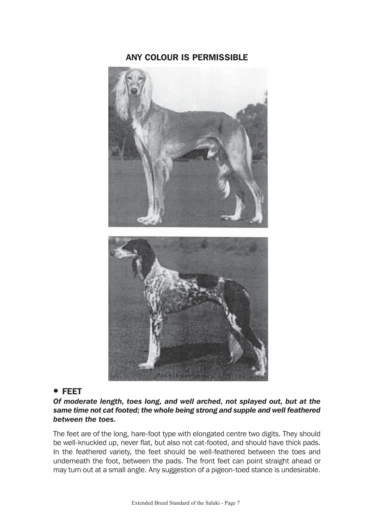# ANY COLOUR IS PERMISSIBLE



#### ! FEET

*Of moderate length, toes long, and well arched, not splayed out, but at the same time not cat footed; the whole being strong and supple and well feathered between the toes.*

The feet are of the long, hare-foot type with elongated centre two digits. They should be well-knuckled up, never flat, but also not cat-footed, and should have thick pads. In the feathered variety, the feet should be well-feathered between the toes and underneath the foot, between the pads. The front feet can point straight ahead or may turn out at a small angle. Any suggestion of a pigeon-toed stance is undesirable.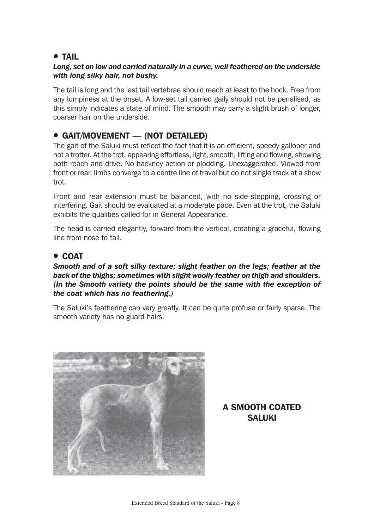# **• TAIL**

#### *Long, set on low and carried naturally in a curve, well feathered on the underside with long silky hair, not bushy.*

The tail is long and the last tail vertebrae should reach at least to the hock. Free from any lumpiness at the onset. A low-set tail carried gaily should not be penalised, as this simply indicates a state of mind. The smooth may carry a slight brush of longer, coarser hair on the underside.

# ! GAIT/MOVEMENT — (NOT DETAILED)

The gait of the Saluki must reflect the fact that it is an efficient, speedy galloper and not a trotter. At the trot, appearing effortless, light, smooth, lifting and flowing, showing both reach and drive. No hackney action or plodding. Unexaggerated. Viewed from front or rear, limbs converge to a centre line of travel but do not single track at a show trot.

Front and rear extension must be balanced, with no side-stepping, crossing or interfering. Gait should be evaluated at a moderate pace. Even at the trot, the Saluki exhibits the qualities called for in General Appearance.

The head is carried elegantly, forward from the vertical, creating a graceful, flowing line from nose to tail.

#### ! COAT

#### *Smooth and of a soft silky texture; slight feather on the legs; feather at the back of the thighs; sometimes with slight woolly feather on thigh and shoulders. (In the Smooth variety the points should be the same with the exception of the coat which has no feathering.)*

The Saluki's feathering can vary greatly. It can be quite profuse or fairly sparse. The smooth variety has no guard hairs.



# A SMOOTH COATED **SALUKI**